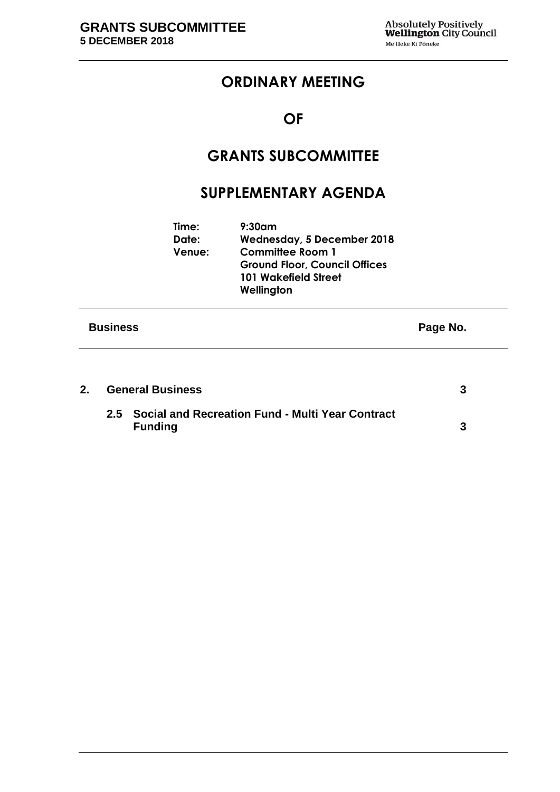## **ORDINARY MEETING**

# **OF**

# **GRANTS SUBCOMMITTEE**

## **SUPPLEMENTARY AGENDA**

|                 | Time:<br>Date:<br>Venue: | $9:30$ am<br>Wednesday, 5 December 2018<br><b>Committee Room 1</b><br><b>Ground Floor, Council Offices</b><br><b>101 Wakefield Street</b><br>Wellington |          |
|-----------------|--------------------------|---------------------------------------------------------------------------------------------------------------------------------------------------------|----------|
| <b>Business</b> |                          |                                                                                                                                                         | Page No. |
|                 |                          |                                                                                                                                                         |          |

| <b>General Business</b> |                                                                        |  |
|-------------------------|------------------------------------------------------------------------|--|
|                         | 2.5 Social and Recreation Fund - Multi Year Contract<br><b>Funding</b> |  |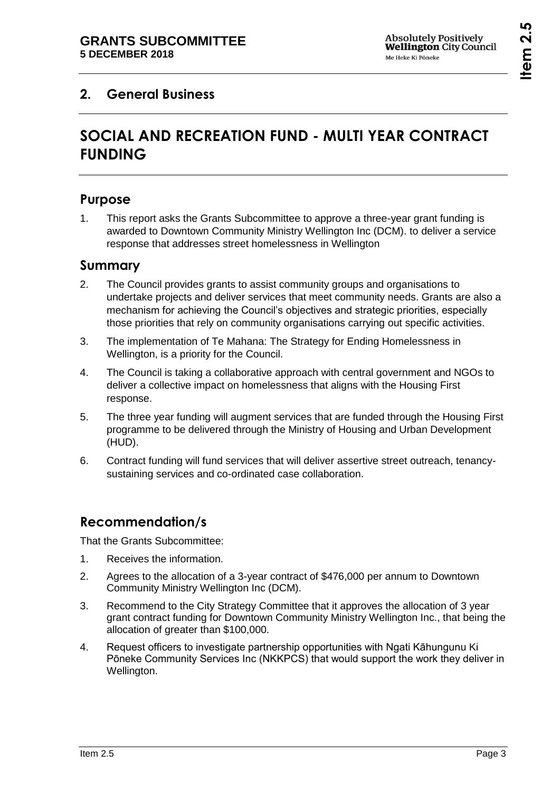## <span id="page-2-1"></span><span id="page-2-0"></span>**2. General Business**

# **SOCIAL AND RECREATION FUND - MULTI YEAR CONTRACT FUNDING**

### **Purpose**

1. This report asks the Grants Subcommittee to approve a three-year grant funding is awarded to Downtown Community Ministry Wellington Inc (DCM). to deliver a service response that addresses street homelessness in Wellington

#### **Summary**

- 2. The Council provides grants to assist community groups and organisations to undertake projects and deliver services that meet community needs. Grants are also a mechanism for achieving the Council's objectives and strategic priorities, especially those priorities that rely on community organisations carrying out specific activities.
- 3. The implementation of Te Mahana: The Strategy for Ending Homelessness in Wellington, is a priority for the Council.
- 4. The Council is taking a collaborative approach with central government and NGOs to deliver a collective impact on homelessness that aligns with the Housing First response.
- 5. The three year funding will augment services that are funded through the Housing First programme to be delivered through the Ministry of Housing and Urban Development (HUD).
- 6. Contract funding will fund services that will deliver assertive street outreach, tenancysustaining services and co-ordinated case collaboration.

## **Recommendation/s**

That the Grants Subcommittee:

- 1. Receives the information.
- 2. Agrees to the allocation of a 3-year contract of \$476,000 per annum to Downtown Community Ministry Wellington Inc (DCM).
- 3. Recommend to the City Strategy Committee that it approves the allocation of 3 year grant contract funding for Downtown Community Ministry Wellington Inc., that being the allocation of greater than \$100,000.
- 4. Request officers to investigate partnership opportunities with Ngati Kāhungunu Ki Pōneke Community Services Inc (NKKPCS) that would support the work they deliver in Wellington.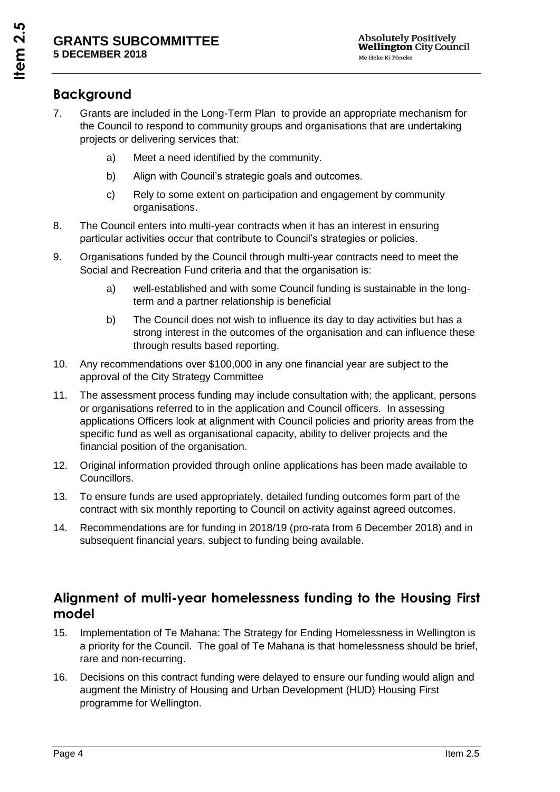## **Background**

- 7. Grants are included in the Long-Term Plan to provide an appropriate mechanism for the Council to respond to community groups and organisations that are undertaking projects or delivering services that:
	- a) Meet a need identified by the community.
	- b) Align with Council's strategic goals and outcomes.
	- c) Rely to some extent on participation and engagement by community organisations.
- 8. The Council enters into multi-year contracts when it has an interest in ensuring particular activities occur that contribute to Council's strategies or policies.
- 9. Organisations funded by the Council through multi-year contracts need to meet the Social and Recreation Fund criteria and that the organisation is:
	- a) well-established and with some Council funding is sustainable in the longterm and a partner relationship is beneficial
	- b) The Council does not wish to influence its day to day activities but has a strong interest in the outcomes of the organisation and can influence these through results based reporting.
- 10. Any recommendations over \$100,000 in any one financial year are subject to the approval of the City Strategy Committee
- 11. The assessment process funding may include consultation with; the applicant, persons or organisations referred to in the application and Council officers. In assessing applications Officers look at alignment with Council policies and priority areas from the specific fund as well as organisational capacity, ability to deliver projects and the financial position of the organisation.
- 12. Original information provided through online applications has been made available to Councillors.
- 13. To ensure funds are used appropriately, detailed funding outcomes form part of the contract with six monthly reporting to Council on activity against agreed outcomes.
- 14. Recommendations are for funding in 2018/19 (pro-rata from 6 December 2018) and in subsequent financial years, subject to funding being available.

## **Alignment of multi-year homelessness funding to the Housing First model**

- 15. Implementation of Te Mahana: The Strategy for Ending Homelessness in Wellington is a priority for the Council. The goal of Te Mahana is that homelessness should be brief, rare and non-recurring.
- 16. Decisions on this contract funding were delayed to ensure our funding would align and augment the Ministry of Housing and Urban Development (HUD) Housing First programme for Wellington.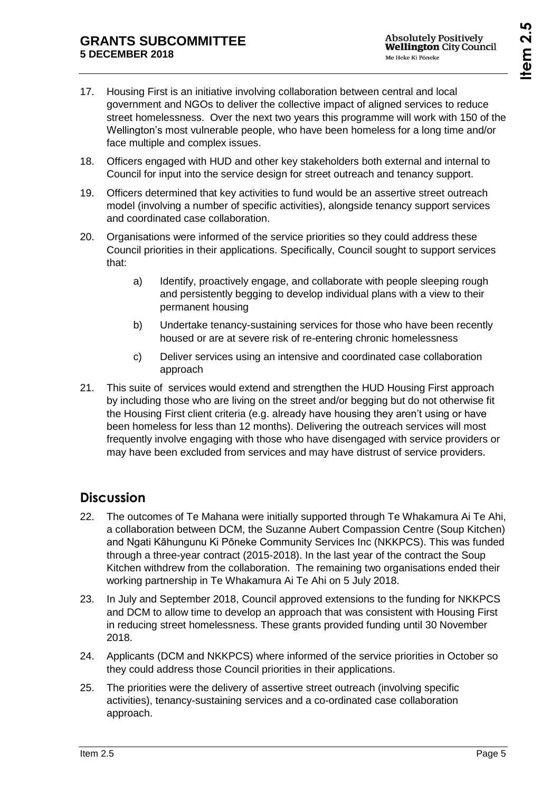- 17. Housing First is an initiative involving collaboration between central and local government and NGOs to deliver the collective impact of aligned services to reduce street homelessness. Over the next two years this programme will work with 150 of the Wellington's most vulnerable people, who have been homeless for a long time and/or face multiple and complex issues.
- 18. Officers engaged with HUD and other key stakeholders both external and internal to Council for input into the service design for street outreach and tenancy support.
- 19. Officers determined that key activities to fund would be an assertive street outreach model (involving a number of specific activities), alongside tenancy support services and coordinated case collaboration.
- 20. Organisations were informed of the service priorities so they could address these Council priorities in their applications. Specifically, Council sought to support services that:
	- a) Identify, proactively engage, and collaborate with people sleeping rough and persistently begging to develop individual plans with a view to their permanent housing
	- b) Undertake tenancy-sustaining services for those who have been recently housed or are at severe risk of re-entering chronic homelessness
	- c) Deliver services using an intensive and coordinated case collaboration approach
- 21. This suite of services would extend and strengthen the HUD Housing First approach by including those who are living on the street and/or begging but do not otherwise fit the Housing First client criteria (e.g. already have housing they aren't using or have been homeless for less than 12 months). Delivering the outreach services will most frequently involve engaging with those who have disengaged with service providers or may have been excluded from services and may have distrust of service providers.

## **Discussion**

- 22. The outcomes of Te Mahana were initially supported through Te Whakamura Ai Te Ahi, a collaboration between DCM, the Suzanne Aubert Compassion Centre (Soup Kitchen) and Ngati Kāhungunu Ki Pōneke Community Services Inc (NKKPCS). This was funded through a three-year contract (2015-2018). In the last year of the contract the Soup Kitchen withdrew from the collaboration. The remaining two organisations ended their working partnership in Te Whakamura Ai Te Ahi on 5 July 2018.
- 23. In July and September 2018, Council approved extensions to the funding for NKKPCS and DCM to allow time to develop an approach that was consistent with Housing First in reducing street homelessness. These grants provided funding until 30 November 2018.
- 24. Applicants (DCM and NKKPCS) where informed of the service priorities in October so they could address those Council priorities in their applications.
- 25. The priorities were the delivery of assertive street outreach (involving specific activities), tenancy-sustaining services and a co-ordinated case collaboration approach.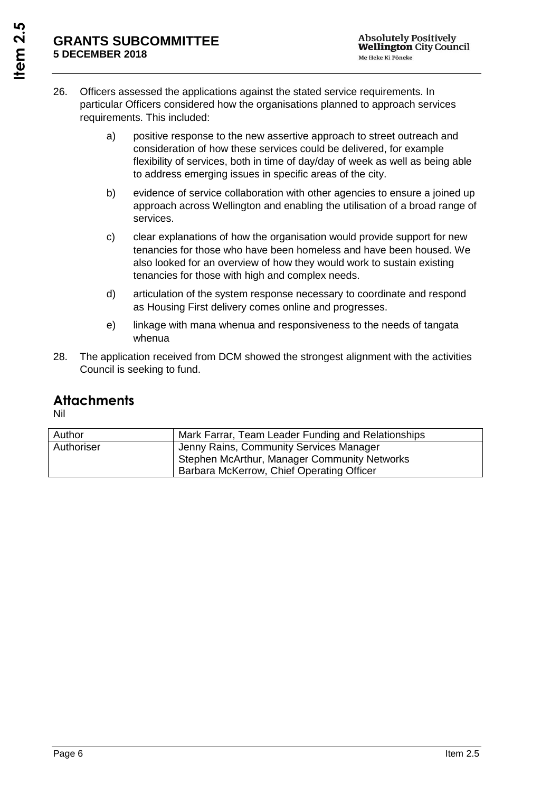- 26. Officers assessed the applications against the stated service requirements. In particular Officers considered how the organisations planned to approach services requirements. This included:
	- a) positive response to the new assertive approach to street outreach and consideration of how these services could be delivered, for example flexibility of services, both in time of day/day of week as well as being able to address emerging issues in specific areas of the city.
	- b) evidence of service collaboration with other agencies to ensure a joined up approach across Wellington and enabling the utilisation of a broad range of services.
	- c) clear explanations of how the organisation would provide support for new tenancies for those who have been homeless and have been housed. We also looked for an overview of how they would work to sustain existing tenancies for those with high and complex needs.
	- d) articulation of the system response necessary to coordinate and respond as Housing First delivery comes online and progresses.
	- e) linkage with mana whenua and responsiveness to the needs of tangata whenua
- 28. The application received from DCM showed the strongest alignment with the activities Council is seeking to fund.

#### **Attachments**

Nil

| Author     | Mark Farrar, Team Leader Funding and Relationships |
|------------|----------------------------------------------------|
| Authoriser | Jenny Rains, Community Services Manager            |
|            | Stephen McArthur, Manager Community Networks       |
|            | Barbara McKerrow, Chief Operating Officer          |